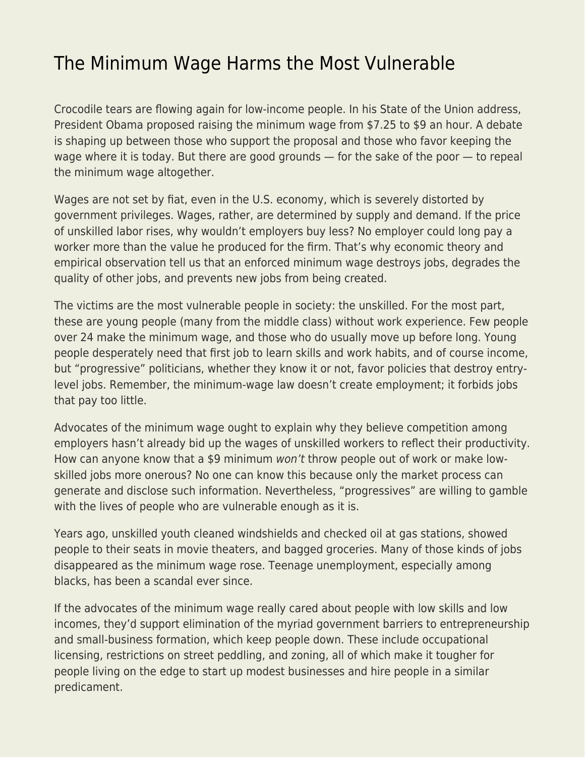## [The Minimum Wage Harms the Most Vulnerable](https://everything-voluntary.com/the-minimum-wage-harms-the-most-vulnerable)

Crocodile tears are flowing again for low-income people. In his State of the Union address, President Obama proposed raising the minimum wage from \$7.25 to \$9 an hour. A debate is shaping up between those who support the proposal and those who favor keeping the wage where it is today. But there are good grounds — for the sake of the poor — to repeal the minimum wage altogether.

Wages are not set by fiat, even in the U.S. economy, which is severely distorted by government privileges. Wages, rather, are determined by supply and demand. If the price of unskilled labor rises, why wouldn't employers buy less? No employer could long pay a worker more than the value he produced for the firm. That's why economic theory and empirical observation tell us that an enforced minimum wage destroys jobs, degrades the quality of other jobs, and prevents new jobs from being created.

The victims are the most vulnerable people in society: the unskilled. For the most part, these are young people (many from the middle class) without work experience. Few people over 24 make the minimum wage, and those who do usually move up before long. Young people desperately need that first job to learn skills and work habits, and of course income, but "progressive" politicians, whether they know it or not, favor policies that destroy entrylevel jobs. Remember, the minimum-wage law doesn't create employment; it forbids jobs that pay too little.

Advocates of the minimum wage ought to explain why they believe competition among employers hasn't already bid up the wages of unskilled workers to reflect their productivity. How can anyone know that a \$9 minimum won't throw people out of work or make lowskilled jobs more onerous? No one can know this because only the market process can generate and disclose such information. Nevertheless, "progressives" are willing to gamble with the lives of people who are vulnerable enough as it is.

Years ago, unskilled youth cleaned windshields and checked oil at gas stations, showed people to their seats in movie theaters, and bagged groceries. Many of those kinds of jobs disappeared as the minimum wage rose. Teenage unemployment, especially among blacks, has been a scandal ever since.

If the advocates of the minimum wage really cared about people with low skills and low incomes, they'd support elimination of the myriad government barriers to entrepreneurship and small-business formation, which keep people down. These include occupational licensing, restrictions on street peddling, and zoning, all of which make it tougher for people living on the edge to start up modest businesses and hire people in a similar predicament.